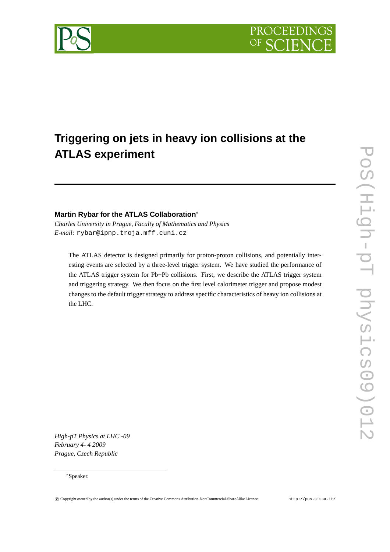



# **Triggering on jets in heavy ion collisions at the ATLAS experiment**

# **Martin Rybar for the ATLAS Collaboration**<sup>∗</sup>

*Charles University in Prague, Faculty of Mathematics and Physics E-mail:* rybar@ipnp.troja.mff.cuni.cz

The ATLAS detector is designed primarily for proton-proton collisions, and potentially interesting events are selected by a three-level trigger system. We have studied the performance of the ATLAS trigger system for Pb+Pb collisions. First, we describe the ATLAS trigger system and triggering strategy. We then focus on the first level calorimeter trigger and propose modest changes to the default trigger strategy to address specific characteristics of heavy ion collisions at the LHC.

*High-pT Physics at LHC -09 February 4- 4 2009 Prague, Czech Republic*

#### <sup>∗</sup>Speaker.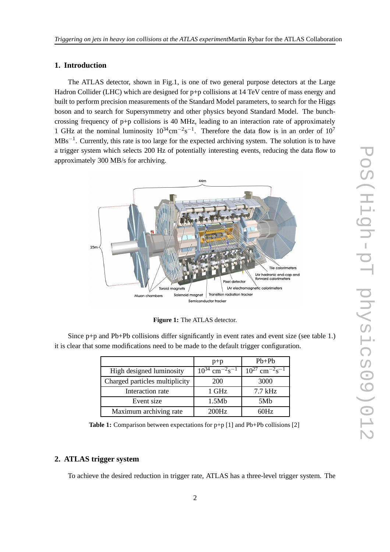# **1. Introduction**

The ATLAS detector, shown in Fig.1, is one of two general purpose detectors at the Large Hadron Collider (LHC) which are designed for p+p collisions at 14 TeV centre of mass energy and built to perform precision measurements of the Standard Model parameters, to search for the Higgs boson and to search for Supersymmetry and other physics beyond Standard Model. The bunchcrossing frequency of  $p+p$  collisions is 40 MHz, leading to an interaction rate of approximately 1 GHz at the nominal luminosity  $10^{34}$ cm<sup>-2</sup>s<sup>-1</sup>. Therefore the data flow is in an order of  $10^7$ MBs<sup>-1</sup>. Currently, this rate is too large for the expected archiving system. The solution is to have a trigger system which selects 200 Hz of potentially interesting events, reducing the data flow to approximately 300 MB/s for archiving.



**Figure 1:** The ATLAS detector.

|                                | $p+p$                                      | $Pb+Pb$                                    |
|--------------------------------|--------------------------------------------|--------------------------------------------|
| High designed luminosity       | $10^{34}$ cm <sup>-2</sup> s <sup>-1</sup> | $10^{27}$ cm <sup>-2</sup> s <sup>-1</sup> |
| Charged particles multiplicity | 200                                        | 3000                                       |
| Interaction rate               | 1 GHz                                      | $7.7$ kHz                                  |
| Event size                     | 1.5Mb                                      | 5M <sub>b</sub>                            |
| Maximum archiving rate         | 200Hz                                      | $\cdot$ )Hz                                |

Since  $p+p$  and Pb+Pb collisions differ significantly in event rates and event size (see table 1.) it is clear that some modifications need to be made to the default trigger configuration.

**Table 1:** Comparison between expectations for p+p [1] and Pb+Pb collisions [2]

# **2. ATLAS trigger system**

To achieve the desired reduction in trigger rate, ATLAS has a three-level trigger system. The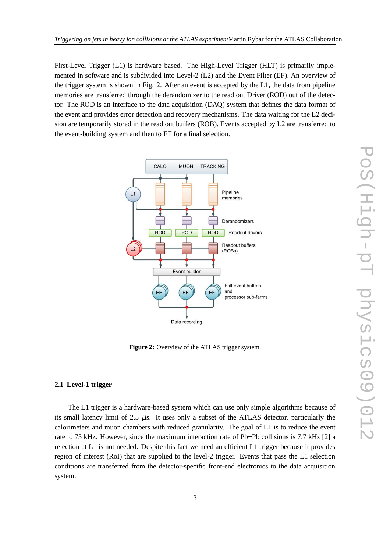First-Level Trigger (L1) is hardware based. The High-Level Trigger (HLT) is primarily implemented in software and is subdivided into Level-2 (L2) and the Event Filter (EF). An overview of the trigger system is shown in Fig. 2. After an event is accepted by the L1, the data from pipeline memories are transferred through the derandomizer to the read out Driver (ROD) out of the detector. The ROD is an interface to the data acquisition (DAQ) system that defines the data format of the event and provides error detection and recovery mechanisms. The data waiting for the L2 decision are temporarily stored in the read out buffers (ROB). Events accepted by L2 are transferred to the event-building system and then to EF for a final selection.



**Figure 2:** Overview of the ATLAS trigger system.

#### **2.1 Level-1 trigger**

The L1 trigger is a hardware-based system which can use only simple algorithms because of its small latency limit of  $2.5 \mu s$ . It uses only a subset of the ATLAS detector, particularly the calorimeters and muon chambers with reduced granularity. The goal of L1 is to reduce the event rate to 75 kHz. However, since the maximum interaction rate of Pb+Pb collisions is 7.7 kHz [2] a rejection at L1 is not needed. Despite this fact we need an efficient L1 trigger because it provides region of interest (RoI) that are supplied to the level-2 trigger. Events that pass the L1 selection conditions are transferred from the detector-specific front-end electronics to the data acquisition system.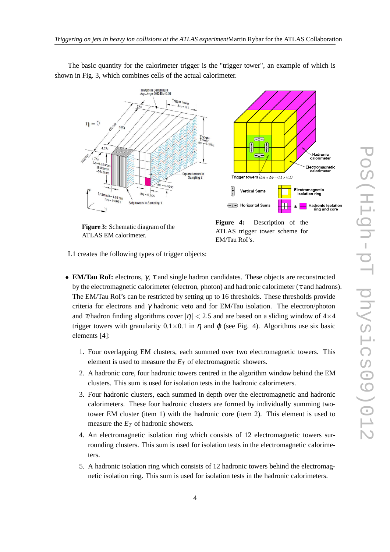$\begin{array}{r} \mathsf{Trigger\,} \mathsf{Tour}_{\mathsf{CP}} \\ \begin{array}{r} \mathsf{A}\mathsf{v}_\mathsf{I}=0.1 \end{array} \end{array}$  $\eta = 0$ **210 m**  $16X<sub>0</sub>$  $\begin{array}{c}\n\text{Trigger} \\
\text{Tower} \\
\Delta \varphi = 0.0982\n\end{array}$  $4.3X<sub>0</sub>$  $\begin{pmatrix} 1 \\ 2 \\ 1 \end{pmatrix}$ 、Hadronic<br>calorimete  $1.7X_0$  $1245$  $\frac{36.8}{m}$  = 147.3mm Electromagnetic<br>calorimeter Square towers in<br>Sampling 2 Trigger towers  $(\Delta \eta \times \Delta \phi = 0.1 \times 0.1)$ Electromagnetic<br>isolation ring **Vertical Sums**  $\frac{1}{37.5 \text{mm/s}} = 4.69 \text{mm}$ <br> $\Delta \eta = 0.002$  $\Delta \eta \approx 0.025$  $\Delta \eta = 0.0031$ Strip towers in Sampling 1  $\leftarrow$   $\Sigma$  + Horizontal Sums Hadronic isolation<br>ring and core ጴ  $\eta$ **Figure 4:** Description of the **Figure 3:** Schematic diagram of the ATLAS trigger tower scheme for ATLAS EM calorimeter.

The basic quantity for the calorimeter trigger is the "trigger tower", an example of which is shown in Fig. 3, which combines cells of the actual calorimeter.

L1 creates the following types of trigger objects:

- **EM/Tau RoI:** electrons, γ, τ and single hadron candidates. These objects are reconstructed by the electromagnetic calorimeter (electron, photon) and hadronic calorimeter ( $\tau$  and hadrons). The EM/Tau RoI's can be restricted by setting up to 16 thresholds. These thresholds provide criteria for electrons and  $\gamma$  hadronic veto and for EM/Tau isolation. The electron/photon and  $\tau$ /hadron finding algorithms cover  $|\eta| < 2.5$  and are based on a sliding window of  $4 \times 4$ trigger towers with granularity  $0.1 \times 0.1$  in  $\eta$  and  $\varphi$  (see Fig. 4). Algorithms use six basic elements [4]:
	- 1. Four overlapping EM clusters, each summed over two electromagnetic towers. This element is used to measure the  $E_T$  of electromagnetic showers.
	- 2. A hadronic core, four hadronic towers centred in the algorithm window behind the EM clusters. This sum is used for isolation tests in the hadronic calorimeters.
	- 3. Four hadronic clusters, each summed in depth over the electromagnetic and hadronic calorimeters. These four hadronic clusters are formed by individually summing twotower EM cluster (item 1) with the hadronic core (item 2). This element is used to measure the *E<sup>T</sup>* of hadronic showers.
	- 4. An electromagnetic isolation ring which consists of 12 electromagnetic towers surrounding clusters. This sum is used for isolation tests in the electromagnetic calorimeters.
	- 5. A hadronic isolation ring which consists of 12 hadronic towers behind the electromagnetic isolation ring. This sum is used for isolation tests in the hadronic calorimeters.



EM/Tau RoI's.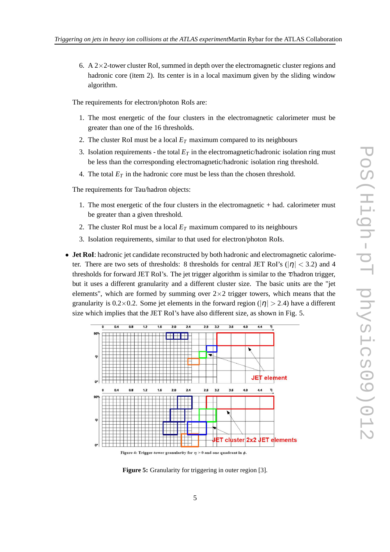6. A  $2\times2$ -tower cluster RoI, summed in depth over the electromagnetic cluster regions and hadronic core (item 2). Its center is in a local maximum given by the sliding window algorithm.

The requirements for electron/photon RoIs are:

- 1. The most energetic of the four clusters in the electromagnetic calorimeter must be greater than one of the 16 thresholds.
- 2. The cluster RoI must be a local  $E_T$  maximum compared to its neighbours
- 3. Isolation requirements the total  $E_T$  in the electromagnetic/hadronic isolation ring must be less than the corresponding electromagnetic/hadronic isolation ring threshold.
- 4. The total  $E_T$  in the hadronic core must be less than the chosen threshold.

The requirements for Tau/hadron objects:

- 1. The most energetic of the four clusters in the electromagnetic + had. calorimeter must be greater than a given threshold.
- 2. The cluster RoI must be a local  $E_T$  maximum compared to its neighbours
- 3. Isolation requirements, similar to that used for electron/photon RoIs.
- **Jet RoI**: hadronic jet candidate reconstructed by both hadronic and electromagnetic calorimeter. There are two sets of thresholds: 8 thresholds for central JET RoI's ( $|\eta| < 3.2$ ) and 4 thresholds for forward JET RoI's. The jet trigger algorithm is similar to the <sup>τ</sup>/hadron trigger, but it uses a different granularity and a different cluster size. The basic units are the "jet elements", which are formed by summing over  $2\times 2$  trigger towers, which means that the granularity is 0.2×0.2. Some jet elements in the forward region ( $|\eta| > 2.4$ ) have a different size which implies that the JET RoI's have also different size, as shown in Fig. 5.



**Figure 5:** Granularity for triggering in outer region [3].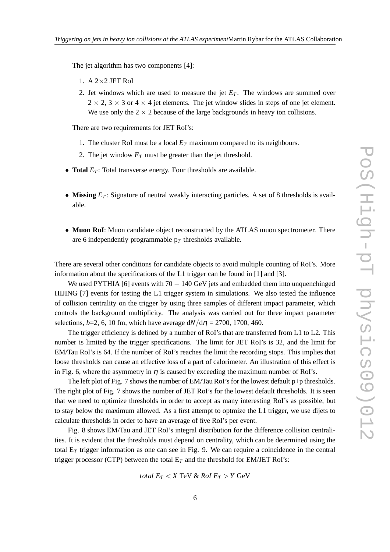The jet algorithm has two components [4]:

- 1. A  $2\times2$  JET RoI
- 2. Jet windows which are used to measure the jet  $E_T$ . The windows are summed over  $2 \times 2$ ,  $3 \times 3$  or  $4 \times 4$  jet elements. The jet window slides in steps of one jet element. We use only the  $2 \times 2$  because of the large backgrounds in heavy ion collisions.

There are two requirements for JET RoI's:

- 1. The cluster RoI must be a local  $E_T$  maximum compared to its neighbours.
- 2. The jet window  $E_T$  must be greater than the jet threshold.
- **Total**  $E_T$ : Total transverse energy. Four thresholds are available.
- **Missing**  $E_T$ : Signature of neutral weakly interacting particles. A set of 8 thresholds is available.
- **Muon RoI**: Muon candidate object reconstructed by the ATLAS muon spectrometer. There are 6 independently programmable  $p_T$  thresholds available.

There are several other conditions for candidate objects to avoid multiple counting of RoI's. More information about the specifications of the L1 trigger can be found in [1] and [3].

We used PYTHIA [6] events with  $70 - 140$  GeV jets and embedded them into unquenchinged HIJING [7] events for testing the L1 trigger system in simulations. We also tested the influence of collision centrality on the trigger by using three samples of different impact parameter, which controls the background multiplicity. The analysis was carried out for three impact parameter selections,  $b=2$ , 6, 10 fm, which have average  $dN/d\eta = 2700$ , 1700, 460.

The trigger efficiency is defined by a number of RoI's that are transferred from L1 to L2. This number is limited by the trigger specifications. The limit for JET RoI's is 32, and the limit for EM/Tau RoI's is 64. If the number of RoI's reaches the limit the recording stops. This implies that loose thresholds can cause an effective loss of a part of calorimeter. An illustration of this effect is in Fig. 6, where the asymmetry in  $\eta$  is caused by exceeding the maximum number of RoI's.

The left plot of Fig. 7 shows the number of EM/Tau RoI's for the lowest default p+p thresholds. The right plot of Fig. 7 shows the number of JET RoI's for the lowest default thresholds. It is seen that we need to optimize thresholds in order to accept as many interesting RoI's as possible, but to stay below the maximum allowed. As a first attempt to optmize the L1 trigger, we use dijets to calculate thresholds in order to have an average of five RoI's per event.

Fig. 8 shows EM/Tau and JET RoI's integral distribution for the difference collision centralities. It is evident that the thresholds must depend on centrality, which can be determined using the total E*<sup>T</sup>* trigger information as one can see in Fig. 9. We can require a coincidence in the central trigger processor (CTP) between the total  $E_T$  and the threshold for EM/JET RoI's:

$$
total E_T < X \text{ TeV} \& \text{RoI } E_T > Y \text{ GeV}
$$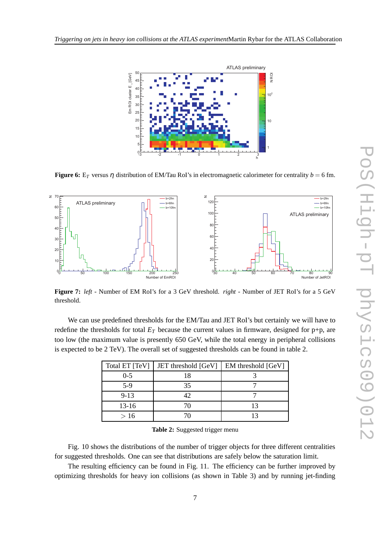

**Figure 6:** E<sub>*T*</sub> versus  $\eta$  distribution of EM/Tau RoI's in electromagnetic calorimeter for centrality  $b = 6$  fm.



**Figure 7:** *left* - Number of EM RoI's for a 3 GeV threshold. *right* - Number of JET RoI's for a 5 GeV threshold.

We can use predefined thresholds for the EM/Tau and JET RoI's but certainly we will have to redefine the thresholds for total  $E_T$  because the current values in firmware, designed for  $p+p$ , are too low (the maximum value is presently 650 GeV, while the total energy in peripheral collisions is expected to be 2 TeV). The overall set of suggested thresholds can be found in table 2.

| Total ET $[TeV]$ | JET threshold [GeV] | EM threshold [GeV] |
|------------------|---------------------|--------------------|
| $0 - 5$          | 18                  |                    |
| $5-9$            | 35                  |                    |
| $9 - 13$         | 42.                 |                    |
| $13 - 16$        | 70                  |                    |
| >16              |                     |                    |

**Table 2:** Suggested trigger menu

Fig. 10 shows the distributions of the number of trigger objects for three different centralities for suggested thresholds. One can see that distributions are safely below the saturation limit.

The resulting efficiency can be found in Fig. 11. The efficiency can be further improved by optimizing thresholds for heavy ion collisions (as shown in Table 3) and by running jet-finding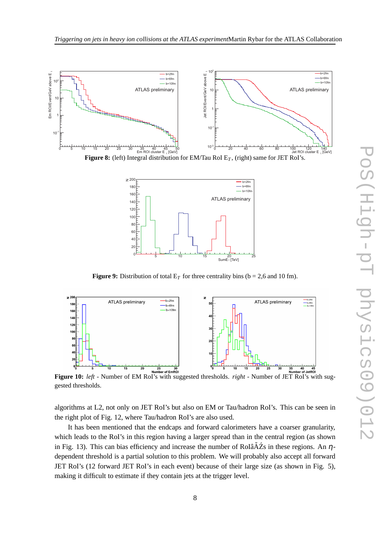

**Figure 8:** (left) Integral distribution for EM/Tau RoI E*<sup>T</sup>* , (right) same for JET RoI's.



**Figure 9:** Distribution of total  $E_T$  for three centrality bins (b = 2,6 and 10 fm).



gested thresholds.

algorithms at L2, not only on JET RoI's but also on EM or Tau/hadron RoI's. This can be seen in the right plot of Fig. 12, where Tau/hadron RoI's are also used.

It has been mentioned that the endcaps and forward calorimeters have a coarser granularity, which leads to the RoI's in this region having a larger spread than in the central region (as shown in Fig. 13). This can bias efficiency and increase the number of RoIâ $\tilde{A}Z$ s in these regions. An  $\eta$ dependent threshold is a partial solution to this problem. We will probably also accept all forward JET RoI's (12 forward JET RoI's in each event) because of their large size (as shown in Fig. 5), making it difficult to estimate if they contain jets at the trigger level.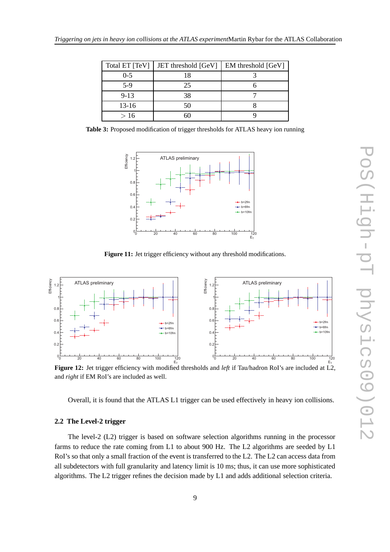| Total ET [TeV] | JET threshold [GeV] | <b>EM</b> threshold [GeV] |
|----------------|---------------------|---------------------------|
| $0 - 5$        | 18                  |                           |
| $5-9$          | 25                  |                           |
| $9-13$         | 38                  |                           |
| $13-16$        | 50                  |                           |
| >16            |                     |                           |

**Table 3:** Proposed modification of trigger thresholds for ATLAS heavy ion running



Figure 11: Jet trigger efficiency without any threshold modifications.



**Figure 12:** Jet trigger efficiency with modified thresholds and *left* if Tau/hadron RoI's are included at L2, and *right* if EM RoI's are included as well.

Overall, it is found that the ATLAS L1 trigger can be used effectively in heavy ion collisions.

#### **2.2 The Level-2 trigger**

The level-2 (L2) trigger is based on software selection algorithms running in the processor farms to reduce the rate coming from L1 to about 900 Hz. The L2 algorithms are seeded by L1 RoI's so that only a small fraction of the event is transferred to the L2. The L2 can access data from all subdetectors with full granularity and latency limit is 10 ms; thus, it can use more sophisticated algorithms. The L2 trigger refines the decision made by L1 and adds additional selection criteria.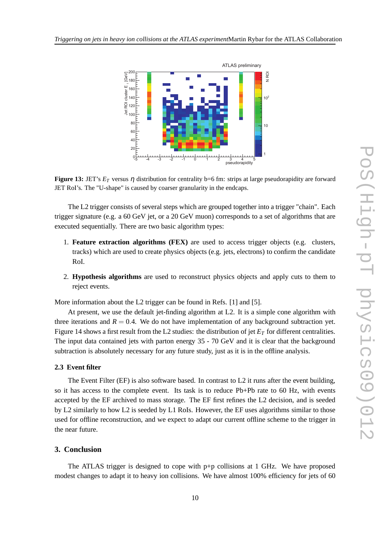

**Figure 13:** JET's  $E_T$  versus  $\eta$  distribution for centrality b=6 fm: strips at large pseudorapidity are forward JET RoI's. The "U-shape" is caused by coarser granularity in the endcaps.

The L2 trigger consists of several steps which are grouped together into a trigger "chain". Each trigger signature (e.g. a 60 GeV jet, or a 20 GeV muon) corresponds to a set of algorithms that are executed sequentially. There are two basic algorithm types:

- 1. **Feature extraction algorithms (FEX)** are used to access trigger objects (e.g. clusters, tracks) which are used to create physics objects (e.g. jets, electrons) to confirm the candidate RoI.
- 2. **Hypothesis algorithms** are used to reconstruct physics objects and apply cuts to them to reject events.

More information about the L2 trigger can be found in Refs. [1] and [5].

At present, we use the default jet-finding algorithm at L2. It is a simple cone algorithm with three iterations and  $R = 0.4$ . We do not have implementation of any background subtraction yet. Figure 14 shows a first result from the L2 studies: the distribution of jet  $E<sub>T</sub>$  for different centralities. The input data contained jets with parton energy 35 - 70 GeV and it is clear that the background subtraction is absolutely necessary for any future study, just as it is in the offline analysis.

#### **2.3 Event filter**

The Event Filter (EF) is also software based. In contrast to L2 it runs after the event building, so it has access to the complete event. Its task is to reduce Pb+Pb rate to 60 Hz, with events accepted by the EF archived to mass storage. The EF first refines the L2 decision, and is seeded by L2 similarly to how L2 is seeded by L1 RoIs. However, the EF uses algorithms similar to those used for offline reconstruction, and we expect to adapt our current offline scheme to the trigger in the near future.

### **3. Conclusion**

The ATLAS trigger is designed to cope with p+p collisions at 1 GHz. We have proposed modest changes to adapt it to heavy ion collisions. We have almost 100% efficiency for jets of 60